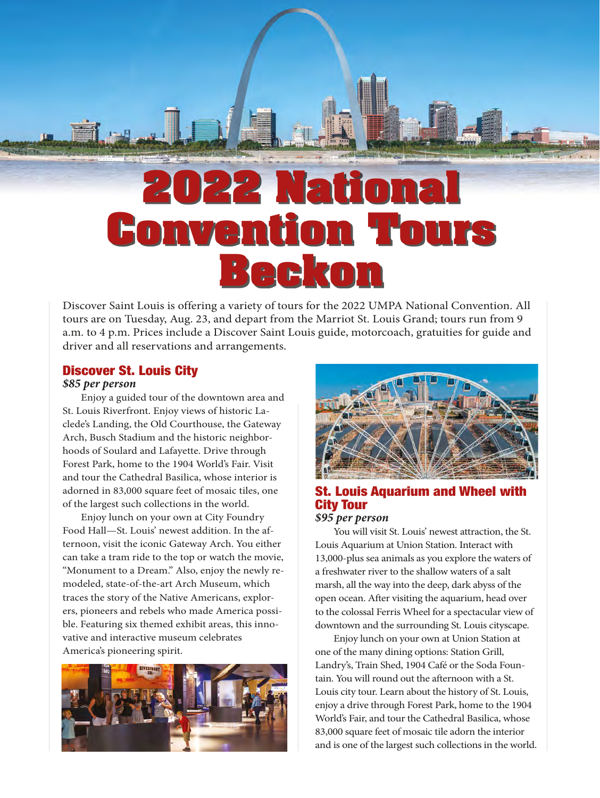# **2022 National Convention Tours Beckon**

Discover Saint Louis is offering a variety of tours for the 2022 UMPA National Convention. All tours are on Tuesday, Aug. 23, and depart from the Marriot St. Louis Grand; tours run from 9 a.m. to 4 p.m. Prices include a Discover Saint Louis guide, motorcoach, gratuities for guide and driver and all reservations and arrangements.

#### Discover St. Louis City

#### *\$85 per person*

Enjoy a guided tour of the downtown area and St. Louis Riverfront. Enjoy views of historic Laclede's Landing, the Old Courthouse, the Gateway Arch, Busch Stadium and the historic neighborhoods of Soulard and Lafayette. Drive through Forest Park, home to the 1904 World's Fair. Visit and tour the Cathedral Basilica, whose interior is adorned in 83,000 square feet of mosaic tiles, one of the largest such collections in the world.

Enjoy lunch on your own at City Foundry Food Hall—St. Louis' newest addition. In the afternoon, visit the iconic Gateway Arch. You either can take a tram ride to the top or watch the movie, "Monument to a Dream." Also, enjoy the newly remodeled, state-of-the-art Arch Museum, which traces the story of the Native Americans, explorers, pioneers and rebels who made America possible. Featuring six themed exhibit areas, this innovative and interactive museum celebrates America's pioneering spirit.





### St. Louis Aquarium and Wheel with City Tour

#### *\$95 per person*

You will visit St. Louis' newest attraction, the St. Louis Aquarium at Union Station. Interact with 13,000-plus sea animals as you explore the waters of a freshwater river to the shallow waters of a salt marsh, all the way into the deep, dark abyss of the open ocean. After visiting the aquarium, head over to the colossal Ferris Wheel for a spectacular view of downtown and the surrounding St. Louis cityscape.

Enjoy lunch on your own at Union Station at one of the many dining options: Station Grill, Landry's, Train Shed, 1904 Café or the Soda Fountain. You will round out the afternoon with a St. Louis city tour. Learn about the history of St. Louis, enjoy a drive through Forest Park, home to the 1904 World's Fair, and tour the Cathedral Basilica, whose 83,000 square feet of mosaic tile adorn the interior and is one of the largest such collections in the world.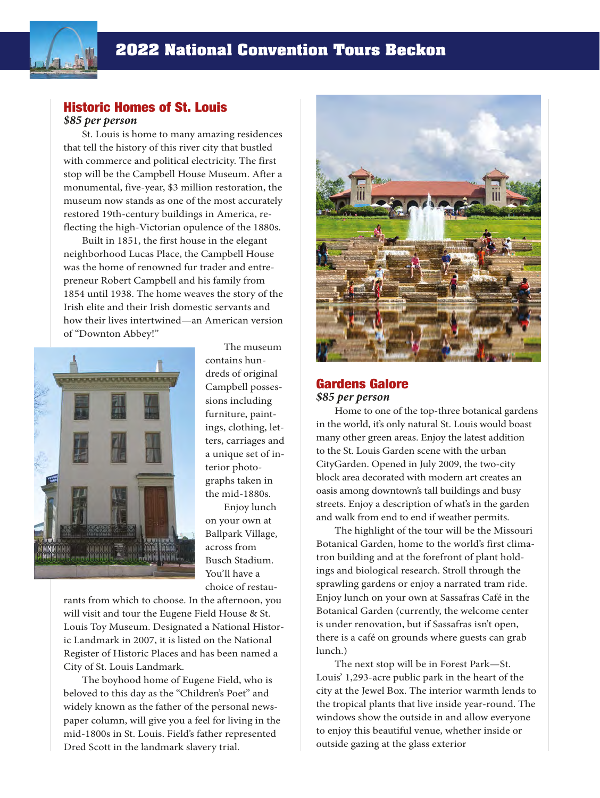

#### Historic Homes of St. Louis *\$85 per person*

St. Louis is home to many amazing residences that tell the history of this river city that bustled with commerce and political electricity. The first stop will be the Campbell House Museum. After a monumental, five-year, \$3 million restoration, the museum now stands as one of the most accurately restored 19th-century buildings in America, reflecting the high-Victorian opulence of the 1880s.

Built in 1851, the first house in the elegant neighborhood Lucas Place, the Campbell House was the home of renowned fur trader and entrepreneur Robert Campbell and his family from 1854 until 1938. The home weaves the story of the Irish elite and their Irish domestic servants and how their lives intertwined—an American version of "Downton Abbey!"



The museum contains hundreds of original Campbell possessions including furniture, paintings, clothing, letters, carriages and a unique set of interior photographs taken in the mid-1880s.

Enjoy lunch on your own at Ballpark Village, across from Busch Stadium. You'll have a choice of restau-

rants from which to choose. In the afternoon, you will visit and tour the Eugene Field House & St. Louis Toy Museum. Designated a National Historic Landmark in 2007, it is listed on the National Register of Historic Places and has been named a City of St. Louis Landmark.

The boyhood home of Eugene Field, who is beloved to this day as the "Children's Poet" and widely known as the father of the personal newspaper column, will give you a feel for living in the mid-1800s in St. Louis. Field's father represented Dred Scott in the landmark slavery trial.



#### Gardens Galore *\$85 per person*

Home to one of the top-three botanical gardens in the world, it's only natural St. Louis would boast many other green areas. Enjoy the latest addition to the St. Louis Garden scene with the urban CityGarden. Opened in July 2009, the two-city block area decorated with modern art creates an oasis among downtown's tall buildings and busy streets. Enjoy a description of what's in the garden and walk from end to end if weather permits.

The highlight of the tour will be the Missouri Botanical Garden, home to the world's first climatron building and at the forefront of plant holdings and biological research. Stroll through the sprawling gardens or enjoy a narrated tram ride. Enjoy lunch on your own at Sassafras Café in the Botanical Garden (currently, the welcome center is under renovation, but if Sassafras isn't open, there is a café on grounds where guests can grab lunch.)

The next stop will be in Forest Park—St. Louis' 1,293-acre public park in the heart of the city at the Jewel Box. The interior warmth lends to the tropical plants that live inside year-round. The windows show the outside in and allow everyone to enjoy this beautiful venue, whether inside or outside gazing at the glass exterior